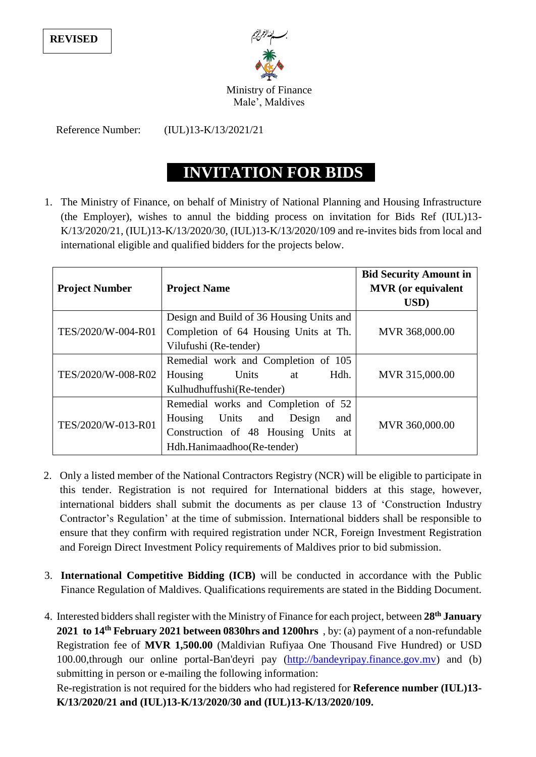**REVISED**



Ministry of Finance Male', Maldives

Reference Number: (IUL)13-K/13/2021/21

## **INVITATION FOR BIDS**

1. The Ministry of Finance, on behalf of Ministry of National Planning and Housing Infrastructure (the Employer), wishes to annul the bidding process on invitation for Bids Ref (IUL)13- K/13/2020/21, (IUL)13-K/13/2020/30, (IUL)13-K/13/2020/109 and re-invites bids from local and international eligible and qualified bidders for the projects below.

| <b>Project Number</b> | <b>Project Name</b>                                                                                                                         | <b>Bid Security Amount in</b><br><b>MVR</b> (or equivalent<br>USD) |
|-----------------------|---------------------------------------------------------------------------------------------------------------------------------------------|--------------------------------------------------------------------|
| TES/2020/W-004-R01    | Design and Build of 36 Housing Units and<br>Completion of 64 Housing Units at Th.<br>Vilufushi (Re-tender)                                  | MVR 368,000.00                                                     |
| TES/2020/W-008-R02    | Remedial work and Completion of 105<br>Hdh.<br>Units<br>Housing<br>at<br>Kulhudhuffushi(Re-tender)                                          | MVR 315,000.00                                                     |
| TES/2020/W-013-R01    | Remedial works and Completion of 52<br>Housing Units and Design<br>and<br>Construction of 48 Housing Units at<br>Hdh.Hanimaadhoo(Re-tender) | MVR 360,000.00                                                     |

- 2. Only a listed member of the National Contractors Registry (NCR) will be eligible to participate in this tender. Registration is not required for International bidders at this stage, however, international bidders shall submit the documents as per clause 13 of 'Construction Industry Contractor's Regulation' at the time of submission. International bidders shall be responsible to ensure that they confirm with required registration under NCR, Foreign Investment Registration and Foreign Direct Investment Policy requirements of Maldives prior to bid submission.
- 3. **International Competitive Bidding (ICB)** will be conducted in accordance with the Public Finance Regulation of Maldives. Qualifications requirements are stated in the Bidding Document.
- 4. Interested bidders shall register with the Ministry of Finance for each project, between **28th January 2021 to 14 th February 2021 between 0830hrs and 1200hrs** , by: (a) payment of a non-refundable Registration fee of **MVR 1,500.00** (Maldivian Rufiyaa One Thousand Five Hundred) or USD 100.00,through our online portal-Ban'deyri pay [\(http://bandeyripay.finance.gov.mv\)](http://bandeyripay.finance.gov.mv/) and (b) submitting in person or e-mailing the following information:

Re-registration is not required for the bidders who had registered for **Reference number (IUL)13- K/13/2020/21 and (IUL)13-K/13/2020/30 and (IUL)13-K/13/2020/109.**